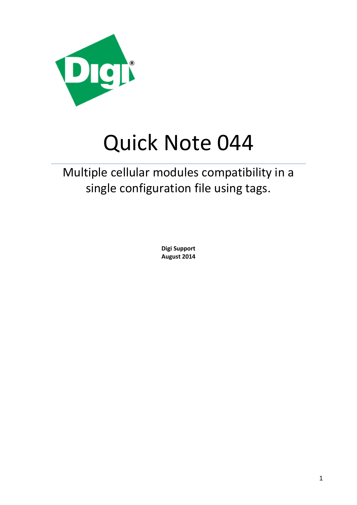

# Quick Note 044

## Multiple cellular modules compatibility in a single configuration file using tags.

**Digi Support August 2014**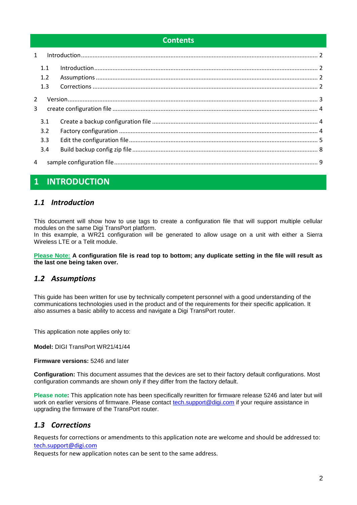#### **Contents**

| $\mathbf{1}$ |     |  |
|--------------|-----|--|
|              | 1.1 |  |
|              | 1.2 |  |
|              | 1.3 |  |
| 2<br>3       |     |  |
|              | 3.1 |  |
|              | 3.2 |  |
|              | 3.3 |  |
|              | 3.4 |  |
| 4            |     |  |

## <span id="page-1-0"></span>**1 INTRODUCTION**

## <span id="page-1-1"></span>*1.1 Introduction*

This document will show how to use tags to create a configuration file that will support multiple cellular modules on the same Digi TransPort platform.

In this example, a WR21 configuration will be generated to allow usage on a unit with either a Sierra Wireless LTE or a Telit module.

**Please Note: A configuration file is read top to bottom; any duplicate setting in the file will result as the last one being taken over.**

## <span id="page-1-2"></span>*1.2 Assumptions*

This guide has been written for use by technically competent personnel with a good understanding of the communications technologies used in the product and of the requirements for their specific application. It also assumes a basic ability to access and navigate a Digi TransPort router.

This application note applies only to:

**Model:** DIGI TransPort WR21/41/44

**Firmware versions:** 5246 and later

**Configuration:** This document assumes that the devices are set to their factory default configurations. Most configuration commands are shown only if they differ from the factory default.

**Please note:** This application note has been specifically rewritten for firmware release 5246 and later but will work on earlier versions of firmware. Please contact [tech.support@digi.com](mailto:tech.support@digi.com) if your require assistance in upgrading the firmware of the TransPort router.

## <span id="page-1-3"></span>*1.3 Corrections*

Requests for corrections or amendments to this application note are welcome and should be addressed to: [tech.support@digi.com](mailto:tech.support@digi.com)

Requests for new application notes can be sent to the same address.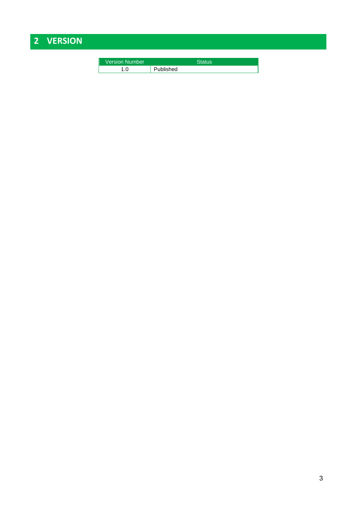## <span id="page-2-0"></span>**2 VERSION**

| Version Number | Status    |
|----------------|-----------|
| .0             | Published |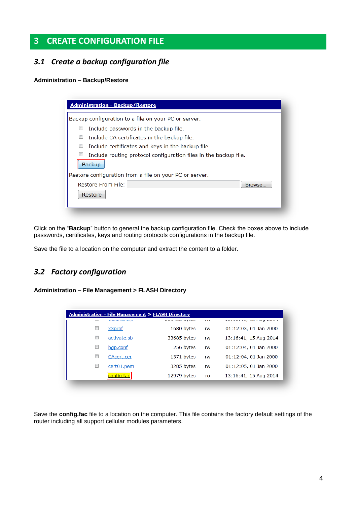## <span id="page-3-0"></span>**3 CREATE CONFIGURATION FILE**

## <span id="page-3-1"></span>*3.1 Create a backup configuration file*

#### **Administration – Backup/Restore**

| <b>Administration - Backup/Restore</b>                                     |        |  |  |  |  |  |
|----------------------------------------------------------------------------|--------|--|--|--|--|--|
| Backup configuration to a file on your PC or server.                       |        |  |  |  |  |  |
| Include passwords in the backup file.                                      |        |  |  |  |  |  |
| Include CA certificates in the backup file.                                |        |  |  |  |  |  |
| Include certificates and keys in the backup file.                          |        |  |  |  |  |  |
| Include routing protocol configuration files in the backup file.<br>Backup |        |  |  |  |  |  |
| Restore configuration from a file on your PC or server.                    |        |  |  |  |  |  |
| Restore From File:                                                         | Browse |  |  |  |  |  |
| Restore                                                                    |        |  |  |  |  |  |
|                                                                            |        |  |  |  |  |  |

Click on the "**Backup**" button to general the backup configuration file. Check the boxes above to include passwords, certificates, keys and routing protocols configurations in the backup file.

Save the file to a location on the computer and extract the content to a folder.

## <span id="page-3-2"></span>*3.2 Factory configuration*

#### **Administration – File Management > FLASH Directory**

| <b>Administration - File Management &gt; FLASH Directory</b> |                               |             |          |                       |  |  |  |
|--------------------------------------------------------------|-------------------------------|-------------|----------|-----------------------|--|--|--|
|                                                              | <b>A R FALLAST SENSTALISM</b> |             | $\cdots$ | ****************      |  |  |  |
| $\Box$                                                       | x3prof                        | 1680 bytes  | rw       | 01:12:03, 01 Jan 2000 |  |  |  |
| $\Box$                                                       | activate.sb                   | 33685 bytes | rw       | 13:16:41, 15 Aug 2014 |  |  |  |
| $\Box$                                                       | bgp.conf                      | 256 bytes   | rw       | 01:12:04, 01 Jan 2000 |  |  |  |
| $\blacksquare$                                               | CAcert.cer                    | 1371 bytes  | rw       | 01:12:04, 01 Jan 2000 |  |  |  |
| $\Box$                                                       | cert01.pem                    | 3285 bytes  | rw       | 01:12:05, 01 Jan 2000 |  |  |  |
|                                                              | config.fac                    | 12979 bytes | ro       | 13:16:41, 15 Aug 2014 |  |  |  |

Save the **config.fac** file to a location on the computer. This file contains the factory default settings of the router including all support cellular modules parameters.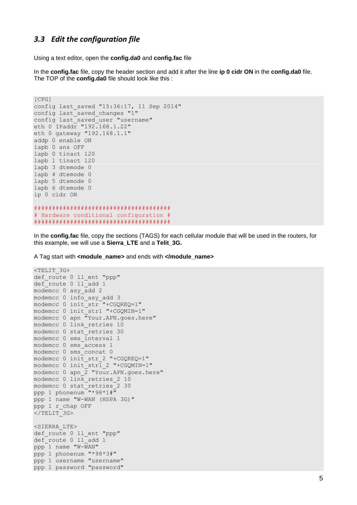### <span id="page-4-0"></span>3.3 Edit the configuration file

Using a text editor, open the config.da0 and config.fac file

In the config. fac file, copy the header section and add it after the line ip 0 cidr ON in the config. da0 file. The TOP of the config.da0 file should look like this :

```
[CFG]config last saved "15:36:17, 11 Sep 2014"
config last saved changes "1"
config last saved user "username"
eth 0 IPaddr "192.168.1.22"
eth 0 gateway "192.168.1.1"
addp 0 enable ON
lapb 0 ans OFF
lapb 0 tinact 120
lapb 1 tinact 120
lapb 3 dtemode 0
lapb 4 dtemode 0
lapb 5 dtemode 0
lapb 6 dtemode 0
ip 0 cidr ON
# Hardware conditional configuration #
```
In the config.fac file, copy the sections (TAGS) for each cellular module that will be used in the routers, for this example, we will use a Sierra\_LTE and a Telit\_3G.

A Tag start with <module\_name> and ends with </module\_name>

```
<TELIT 3G>
def route 0 ll ent "ppp"
def route 0 11 add 1
modemcc 0 asy add 2
modemcc 0 info asy add 3
modemcc 0 init str "+CGQREQ=1"
modemcc 0 init str1 "+CGQMIN=1"
modemcc 0 apn "Your.APN.goes.here"
modemcc 0 link retries 10
modemcc 0 stat retries 30
modemcc 0 sms interval 1
modemcc 0 sms access 1
modemcc 0 sms concat 0
modemcc 0 init str 2 "+CGQREQ=1"
modemcc 0 init str1 2 "+CGOMIN=1"
modemcc 0 apn 2 "Your. APN. goes. here"
modemcc 0 link retries 2 10
modemcc 0 stat retries 2 30
ppp 1 phonenum "*98*1#"
ppp 1 name "W-WAN (HSPA 3G)"
ppp 1 r chap OFF
</TELIT-3G>
<SIERRA LTE>
def route 0 11 ent "ppp"
def route 0 11 add 1
ppp^{-1} name "W-WAN"
ppp 1 phonenum "*98*3#"
ppp 1 username "username"
ppp 1 password "password"
```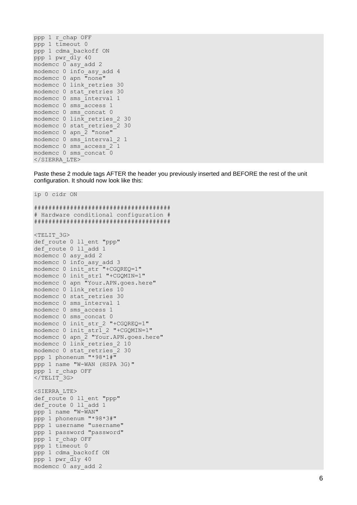```
ppp 1 r_chap OFF
ppp 1 timeout 0
ppp 1 cdma_backoff ON
ppp 1 pwr_dly 40
modemcc 0 asy add 2
modemcc 0 info_asy_add 4
modemcc 0 apn "none"
modemcc 0 link_retries 30
modemcc 0 stat_retries 30
modemcc 0 sms_interval 1
modemcc 0 sms_access 1
modemcc 0 sms_concat 0
modemcc 0 link_retries_2 30
modemcc 0 stat_retries_2 30
modemcc 0 apn_2 "none"
modemcc 0 sms_interval_2 1
modemcc 0 sms_access_2 1
modemcc 0 sms_concat 0
</SIERRA_LTE>
```
Paste these 2 module tags AFTER the header you previously inserted and BEFORE the rest of the unit configuration. It should now look like this:

```
ip 0 cidr ON
######################################
# Hardware conditional configuration #
######################################
<TELIT_3G>
def route 0 ll ent "ppp"
def route 0 ll add 1
modemcc 0 asy_add 2
modemcc 0 info_asy_add 3
modemcc 0 init_str "+CGQREQ=1"
modemcc 0 init_str1 "+CGQMIN=1"
modemcc 0 apn "Your.APN.goes.here"
modemcc 0 link_retries 10
modemcc 0 stat_retries 30
modemcc 0 sms_interval 1
modemcc 0 sms_access 1
modemcc 0 sms_concat 0
modemcc 0 init_str_2 "+CGQREQ=1"
modemcc 0 init_str1_2 "+CGQMIN=1"
modemcc 0 apn_2 "Your.APN.goes.here"
modemcc 0 link retries 2 10
modemcc 0 stat_retries_2 30
ppp 1 phonenum \sqrt{''*98*1*}ppp 1 name "W-WAN (HSPA 3G)"
ppp 1 r_chap OFF
\langleTELIT^{-}3G>
<SIERRA_LTE>
def route 0 ll ent "ppp"
def route 0 ll add 1
ppp 1 name "W-WAN"
ppp 1 phonenum "*98*3#"
ppp 1 username "username"
ppp 1 password "password"
ppp 1 r_chap OFF
ppp 1 timeout 0
ppp 1 cdma_backoff ON
ppp 1 pwr_dly 40
modemcc 0 asy_add 2
```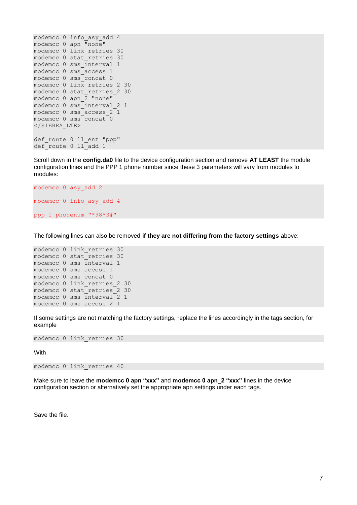```
modemcc 0 info_asy_add 4
modemcc 0 apn "none"
modemcc 0 link_retries 30
modemcc 0 stat_retries 30
modemcc 0 sms_interval 1
modemcc 0 sms_access 1
modemcc 0 sms_concat 0
modemcc 0 link retries 2 30
modemcc 0 stat retries 2 30
modemcc 0 apn \overline{2} "none"
modemcc 0 sms_interval_2 1
modemcc 0 sms_access_2 1
modemcc 0 sms_concat 0
</SIERRA_LTE>
def route 0 ll ent "ppp"
def route 0 11 add 1
```
Scroll down in the **config.da0** file to the device configuration section and remove **AT LEAST** the module configuration lines and the PPP 1 phone number since these 3 parameters will vary from modules to modules:

```
modemcc 0 asy_add 2
modemcc 0 info_asy_add 4
ppp 1 phonenum "*98*3#"
```
The following lines can also be removed **if they are not differing from the factory settings** above:

```
modemcc 0 link_retries 30
modemcc 0 stat_retries 30
modemcc 0 sms_interval 1
modemcc 0 sms_access 1
modemcc 0 sms_concat 0
modemcc 0 link retries 2 30
modemcc 0 stat retries 2 30
modemcc 0 sms_interval_2 1
modemcc 0 sms access 2 1
```
If some settings are not matching the factory settings, replace the lines accordingly in the tags section, for example

```
modemcc 0 link_retries 30
```
With

```
modemcc 0 link_retries 40
```
Make sure to leave the **modemcc 0 apn "xxx"** and **modemcc 0 apn\_2 "xxx"** lines in the device configuration section or alternatively set the appropriate apn settings under each tags.

Save the file.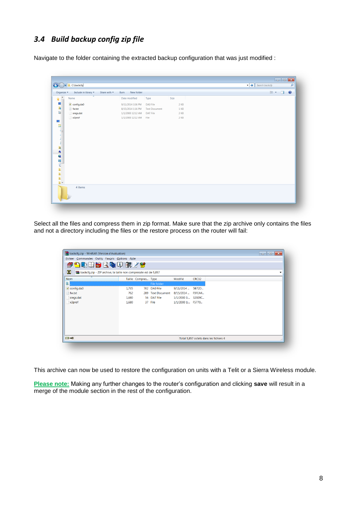## <span id="page-7-0"></span>*3.4 Build backup config zip file*

Navigate to the folder containing the extracted backup configuration that was just modified :

| Include in library *<br>Share with $\sim$<br>Organize v | New folder<br>Burn                        |        | $\mathbb{R}$ . $\Box$ 0 |
|---------------------------------------------------------|-------------------------------------------|--------|-------------------------|
| $\blacktriangle$<br>Name                                | Date modified<br>Type                     | Size   |                         |
| $\Box$ config.da0                                       | 9/11/2014 3:36 PM<br>DA0 File             | 2 KB   |                         |
| fw.txt                                                  | 8/15/2014 1:16 PM<br><b>Text Document</b> | $1$ KB |                         |
| sregs.dat                                               | 1/1/2000 12:12 AM DAT File                | $2$ KB |                         |
| $\Box$ x3prof                                           | 1/1/2000 12:12 AM File                    | $2$ KB |                         |
|                                                         |                                           |        |                         |
|                                                         |                                           |        |                         |
|                                                         |                                           |        |                         |
|                                                         |                                           |        |                         |
|                                                         |                                           |        |                         |
|                                                         |                                           |        |                         |
|                                                         |                                           |        |                         |
|                                                         |                                           |        |                         |
|                                                         |                                           |        |                         |
|                                                         |                                           |        |                         |
|                                                         |                                           |        |                         |
|                                                         |                                           |        |                         |
|                                                         |                                           |        |                         |
|                                                         |                                           |        |                         |
|                                                         |                                           |        |                         |
| $\overline{\phantom{a}}$<br>4 items                     |                                           |        |                         |
|                                                         |                                           |        |                         |

Select all the files and compress them in zip format. Make sure that the zip archive only contains the files and not a directory including the files or the restore process on the router will fail:

| backcfq.zip - WinRAR (Version d'évaluation)                           |       |                     |                   |                    |       | $\Box$ $\mathbf{x}$                    |
|-----------------------------------------------------------------------|-------|---------------------|-------------------|--------------------|-------|----------------------------------------|
| Eichier Commandes Outils Favoris Options Aide                         |       |                     |                   |                    |       |                                        |
| <b>凸动用分区物用 假了梦</b><br>₩                                               |       |                     |                   |                    |       |                                        |
| ø<br>backcfq.zip - ZIP archive, la taille non compressée est de 5,857 |       |                     |                   |                    |       | ▼                                      |
| <b>Nom</b>                                                            |       | Taille Compres Type |                   | Modifié            | CRC32 |                                        |
|                                                                       |       |                     | File folder       |                    |       |                                        |
| config.da0                                                            | 1,735 |                     | 702 DA0 File      | 9/11/2014  5B72D   |       |                                        |
| fw.txt                                                                | 762   |                     | 289 Text Document | 8/15/2014  F9FEA4  |       |                                        |
| sregs.dat                                                             | 1,680 |                     | 56 DAT File       | 1/1/2000 1: 32029C |       |                                        |
| x3 <sub>prof</sub>                                                    | 1,680 |                     | 37 File           | 1/1/2000 1: F5770  |       |                                        |
|                                                                       |       |                     |                   |                    |       |                                        |
|                                                                       |       |                     |                   |                    |       |                                        |
|                                                                       |       |                     |                   |                    |       |                                        |
|                                                                       |       |                     |                   |                    |       |                                        |
|                                                                       |       |                     |                   |                    |       |                                        |
|                                                                       |       |                     |                   |                    |       |                                        |
| 日記                                                                    |       |                     |                   |                    |       | Total 5,857 octets dans les fichiers 4 |
|                                                                       |       |                     |                   |                    |       |                                        |

This archive can now be used to restore the configuration on units with a Telit or a Sierra Wireless module.

**Please note:** Making any further changes to the router's configuration and clicking **save** will result in a merge of the module section in the rest of the configuration.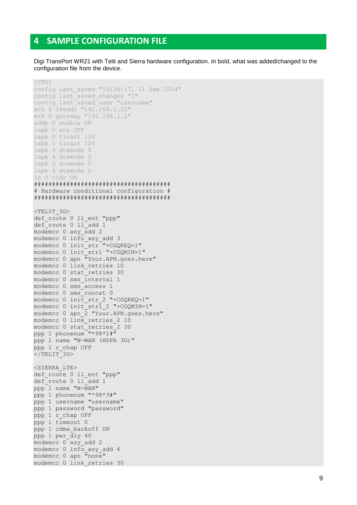#### <span id="page-8-0"></span> $\mathbf{A}$ **SAMPLE CONFIGURATION FILE**

Digi TransPort WR21 with Telit and Sierra hardware configuration. In bold, what was added/changed to the configuration file from the device.

```
[CFG]config last saved "15:36:17, 11 Sep 2014"
config last saved changes "1"
config last saved user "username"
eth 0 IPaddr "192.168.1.22"
eth 0 gateway "192.168.1.1"
addp 0 enable ON
lapb 0 ans OFF
lapb 0 tinact 120
lapb 1 tinact 120
lapb 3 dtemode 0
lapb 4 dtemode 0
lapb 5 dtemode 0
lapb 6 dtemode 0
ip 0 cidr ON
# Hardware conditional configuration #
<TELIT 3G>
def route 0 11 ent "ppp"
def route 0 11 add 1
modemcc 0 asy_add 2
modemcc 0 info asy add 3
modemcc 0 init str "+CGQREQ=1"
modemcc 0 init str1 "+CGQMIN=1"
modemcc 0 apn "Your.APN.goes.here"
modemcc 0 link retries 10
modemcc 0 stat retries 30
modemcc 0 sms interval 1
modemcc 0 sms access 1
modemcc 0 sms concat 0
modemcc 0 init str 2 "+CGQREQ=1"
modemcc 0 init str1 2 "+CGQMIN=1"
modemcc 0 apn 2 "Your.APN.goes.here"
modemcc 0 link retries 2 10
modemcc 0 stat retries 2 30
ppp 1 phonenum "*98*1#"
ppp 1 name "W-WAN (HSPA 3G)"
ppp 1 r_chap OFF
\langle/TELIT 3G>
<SIERRA LTE>
def route 0 ll ent "ppp"
def route 0 11 add 1
ppp 1 name "W-WAN"
ppp 1 phonenum "*98*3#"
ppp 1 username "username"
ppp 1 password "password"
ppp 1 r chap OFF
ppp 1 timeout 0
ppp 1 cdma backoff ON
ppp 1 pwr dly 40
modemcc 0 asy add 2
modemcc 0 info asy add 4
modemcc 0 apn "none"
modemcc 0 link retries 30
```